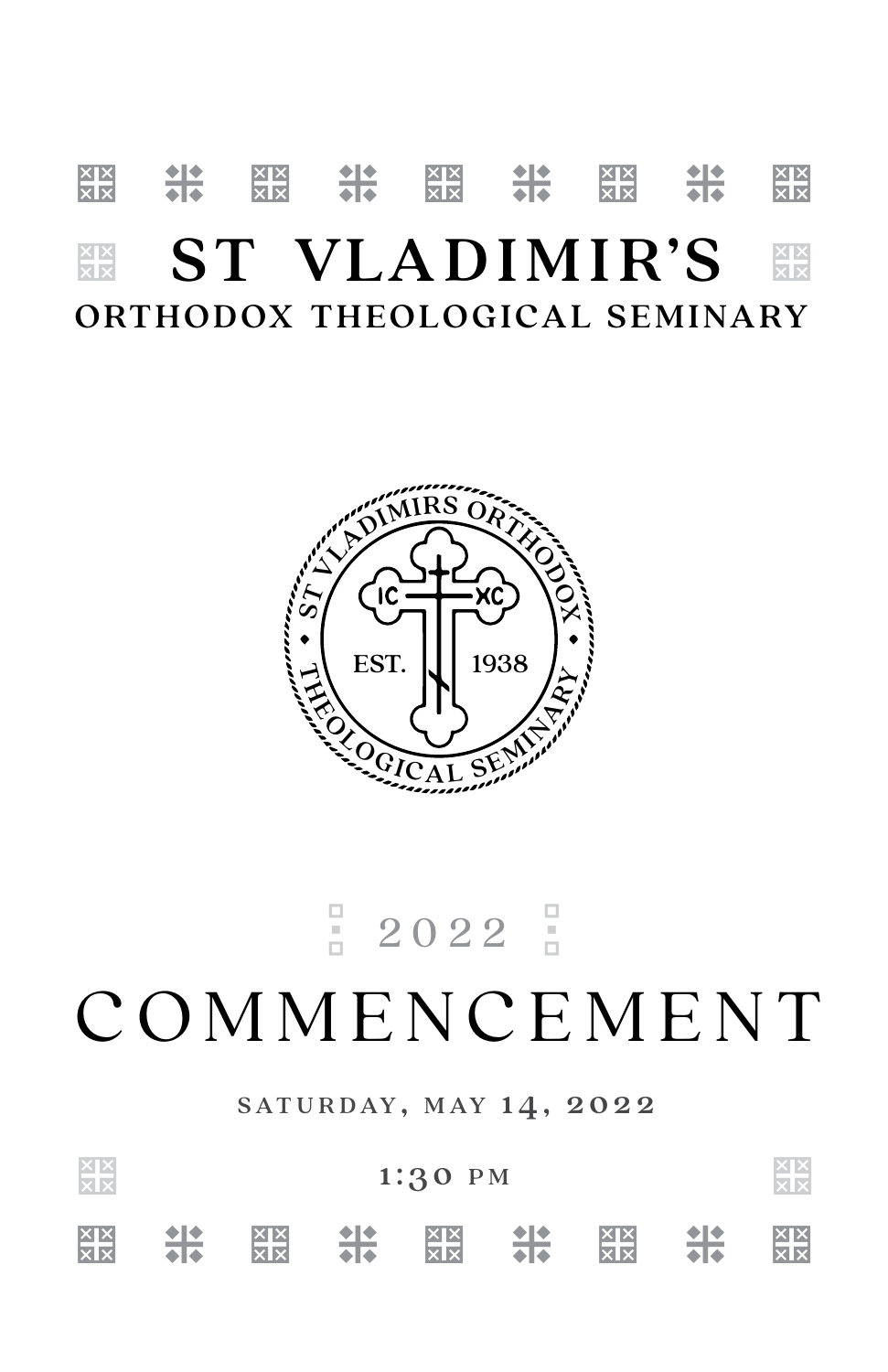## <u>बुर्ब 11: 88 11: 88 11: 88 11: 88</u> **EST VLADIMIR'S FRIE** ORTHODOX THEOLOGICAL SEMINARY



# ${}_{0}^{\square}$  2022  ${}_{0}^{\square}$ **COMMENCEMENT**

SATURDAY, MAY 14, 2022

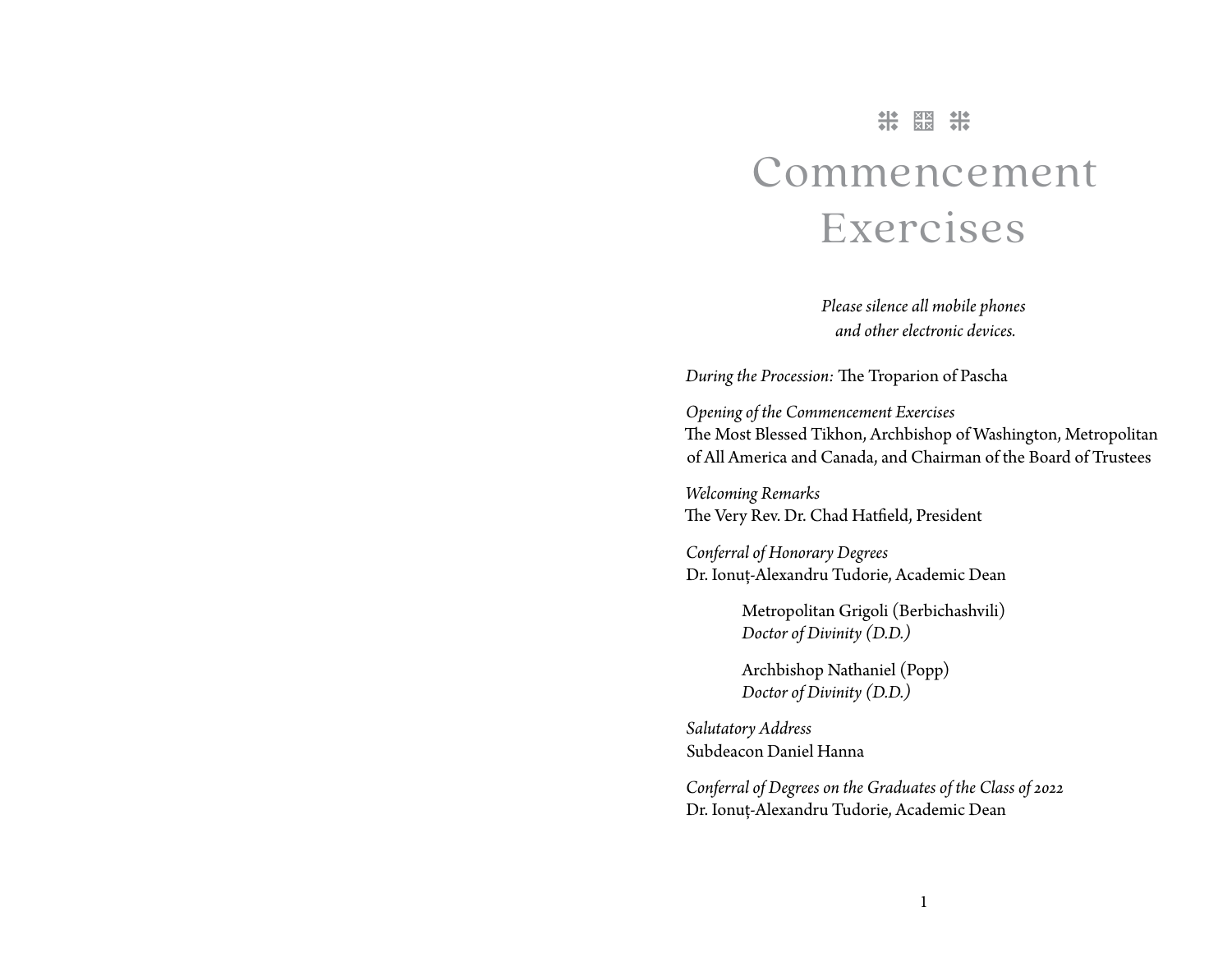### \* \* \*

# Commencement Exercises

*Please silence all mobile phones and other electronic devices.*

*During the Procession:* The Troparion of Pascha

*Opening of the Commencement Exercises* The Most Blessed Tikhon, Archbishop of Washington, Metropolitan of All America and Canada, and Chairman of the Board of Trustees

*Welcoming Remarks* The Very Rev. Dr. Chad Hatfield, President

*Conferral of Honorary Degrees* Dr. Ionuț-Alexandru Tudorie, Academic Dean

> Metropolitan Grigoli (Berbichashvili) *Doctor of Divinity (D.D.)*

Archbishop Nathaniel (Popp) *Doctor of Divinity (D.D.)*

*Salutatory Address* Subdeacon Daniel Hanna

*Conferral of Degrees on the Graduates of the Class of 2022* Dr. Ionuț-Alexandru Tudorie, Academic Dean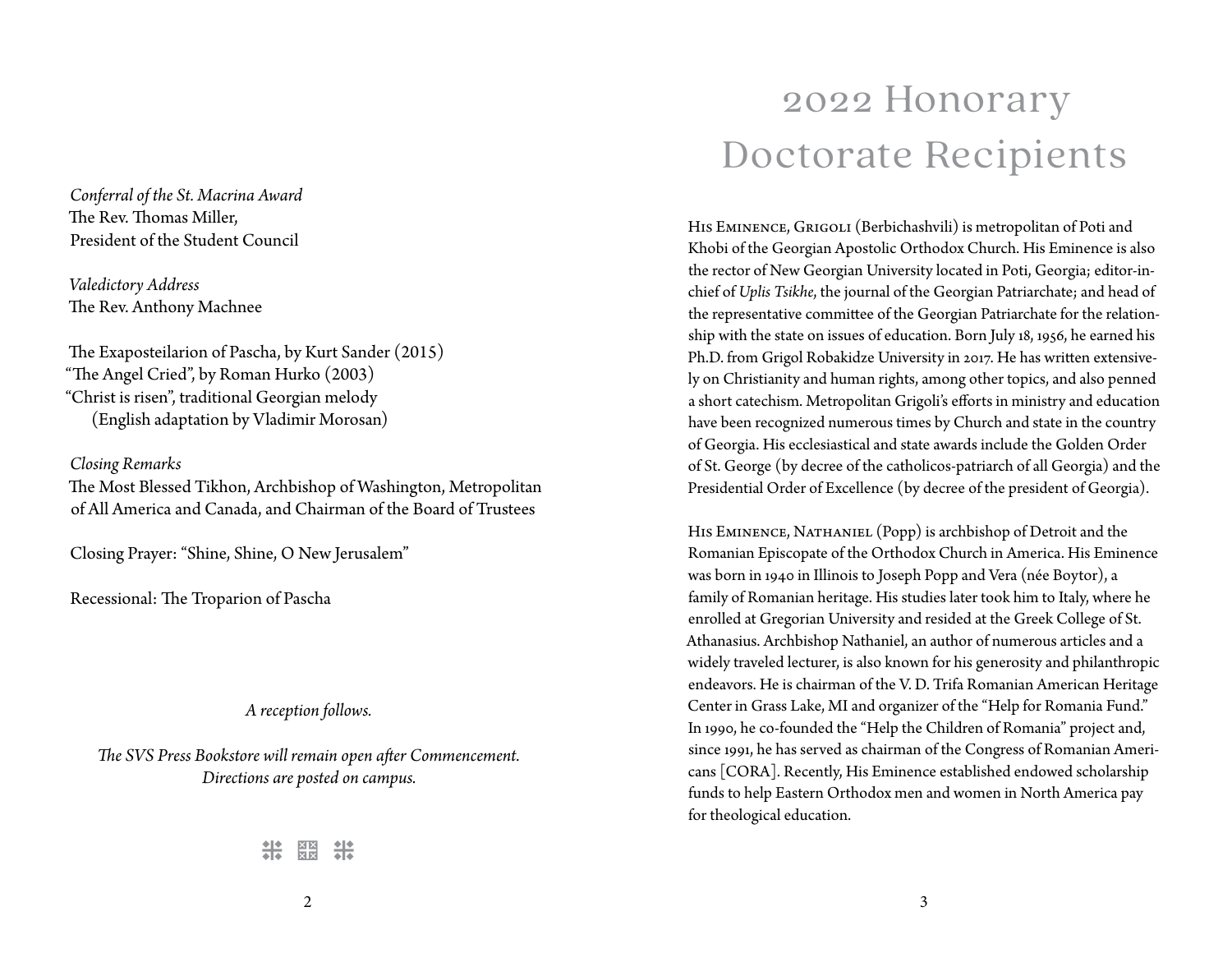*Conferral of the St. Macrina Award* The Rev. Thomas Miller, President of the Student Council

*Valedictory Address* The Rev. Anthony Machnee

The Exaposteilarion of Pascha, by Kurt Sander (2015) "The Angel Cried", by Roman Hurko (2003) "Christ is risen", traditional Georgian melody (English adaptation by Vladimir Morosan)

*Closing Remarks*

The Most Blessed Tikhon, Archbishop of Washington, Metropolitan of All America and Canada, and Chairman of the Board of Trustees

Closing Prayer: "Shine, Shine, O New Jerusalem"

Recessional: The Troparion of Pascha

#### *A reception follows.*

*The SVS Press Bookstore will remain open after Commencement. Directions are posted on campus.*

**半 鬻** 

# 2022 Honorary Doctorate Recipients

HIS EMINENCE, GRIGOLI (Berbichashvili) is metropolitan of Poti and Khobi of the Georgian Apostolic Orthodox Church. His Eminence is also the rector of New Georgian University located in Poti, Georgia; editor-inchief of *Uplis Tsikhe*, the journal of the Georgian Patriarchate; and head of the representative committee of the Georgian Patriarchate for the relationship with the state on issues of education. Born July 18, 1956, he earned his Ph.D. from Grigol Robakidze University in 2017. He has written extensively on Christianity and human rights, among other topics, and also penned a short catechism. Metropolitan Grigoli's efforts in ministry and education have been recognized numerous times by Church and state in the country of Georgia. His ecclesiastical and state awards include the Golden Order of St. George (by decree of the catholicos-patriarch of all Georgia) and the Presidential Order of Excellence (by decree of the president of Georgia).

HIS EMINENCE, NATHANIEL (Popp) is archbishop of Detroit and the Romanian Episcopate of the Orthodox Church in America. His Eminence was born in 1940 in Illinois to Joseph Popp and Vera (née Boytor), a family of Romanian heritage. His studies later took him to Italy, where he enrolled at Gregorian University and resided at the Greek College of St. Athanasius. Archbishop Nathaniel, an author of numerous articles and a widely traveled lecturer, is also known for his generosity and philanthropic endeavors. He is chairman of the V. D. Trifa Romanian American Heritage Center in Grass Lake, MI and organizer of the "Help for Romania Fund." In 1990, he co-founded the "Help the Children of Romania" project and, since 1991, he has served as chairman of the Congress of Romanian Americans [CORA]. Recently, His Eminence established endowed scholarship funds to help Eastern Orthodox men and women in North America pay for theological education.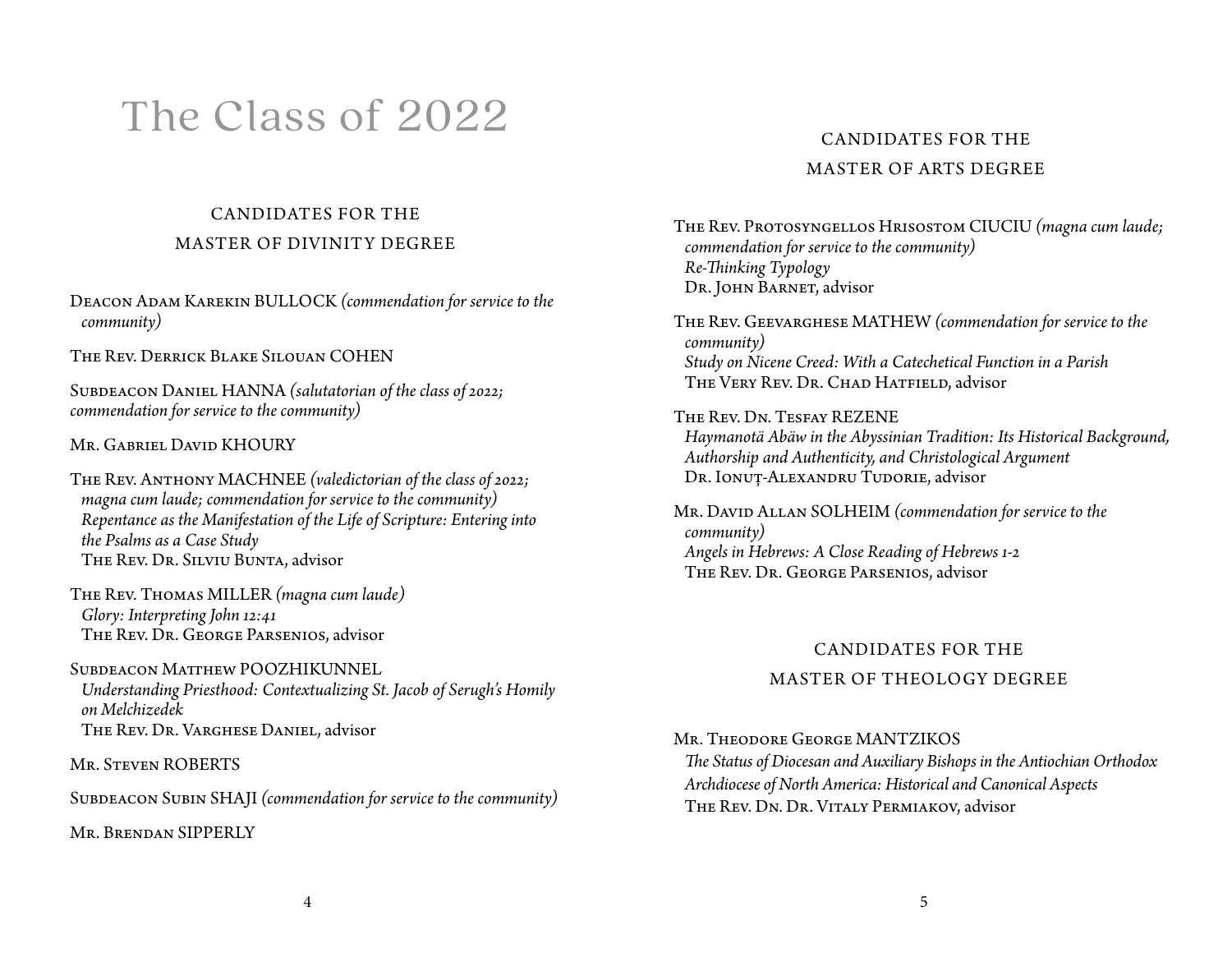# The Class of 2022

### CANDIDATES FOR THE MASTER OF DIVINITY DEGREE

Deacon Adam Karekin BULLOCK *(commendation for service to the community)*

The Rev. Derrick Blake Silouan COHEN

SUBDEACON DANIEL HANNA *(salutatorian of the class of 2022; commendation for service to the community)*

Mr. Gabriel David KHOURY

The Rev. Anthony MACHNEE *(valedictorian of the class of 2022; magna cum laude; commendation for service to the community) Repentance as the Manifestation of the Life of Scripture: Entering into the Psalms as a Case Study* The Rev. Dr. Silviu Bunta, advisor

The Rev. Thomas MILLER *(magna cum laude) Glory: Interpreting John 12:41* The Rev. Dr. George Parsenios, advisor

Subdeacon Matthew POOZHIKUNNEL *Understanding Priesthood: Contextualizing St. Jacob of Serugh's Homily on Melchizedek* The Rev. Dr. Varghese Daniel, advisor

Mr. STEVEN ROBERTS

SUBDEACON SUBIN SHAJI (commendation for service to the community)

Mr. Brendan SIPPERLY

### CANDIDATES FOR THE MASTER OF ARTS DEGREE

THE REV. PROTOSYNGELLOS HRISOSTOM CIUCIU (magna cum laude; *commendation for service to the community) Re-Thinking Typology* Dr. JOHN BARNET, advisor

The Rev. Geevarghese MATHEW *(commendation for service to the community) Study on Nicene Creed: With a Catechetical Function in a Parish* THE VERY REV. DR. CHAD HATFIELD, advisor

The Rev. Dn. Tesfay REZENE *Haymanotä Abäw in the Abyssinian Tradition: Its Historical Background, Authorship and Authenticity, and Christological Argument* DR. IONUȚ-ALEXANDRU TUDORIE, advisor

Mr. David Allan SOLHEIM *(commendation for service to the community) Angels in Hebrews: A Close Reading of Hebrews 1-2* The Rev. Dr. George Parsenios, advisor

### CANDIDATES FOR THE MASTER OF THEOLOGY DEGREE

#### Mr. Theodore George MANTZIKOS

*The Status of Diocesan and Auxiliary Bishops in the Antiochian Orthodox Archdiocese of North America: Historical and Canonical Aspects* The Rev. Dn. Dr. Vitaly Permiakov, advisor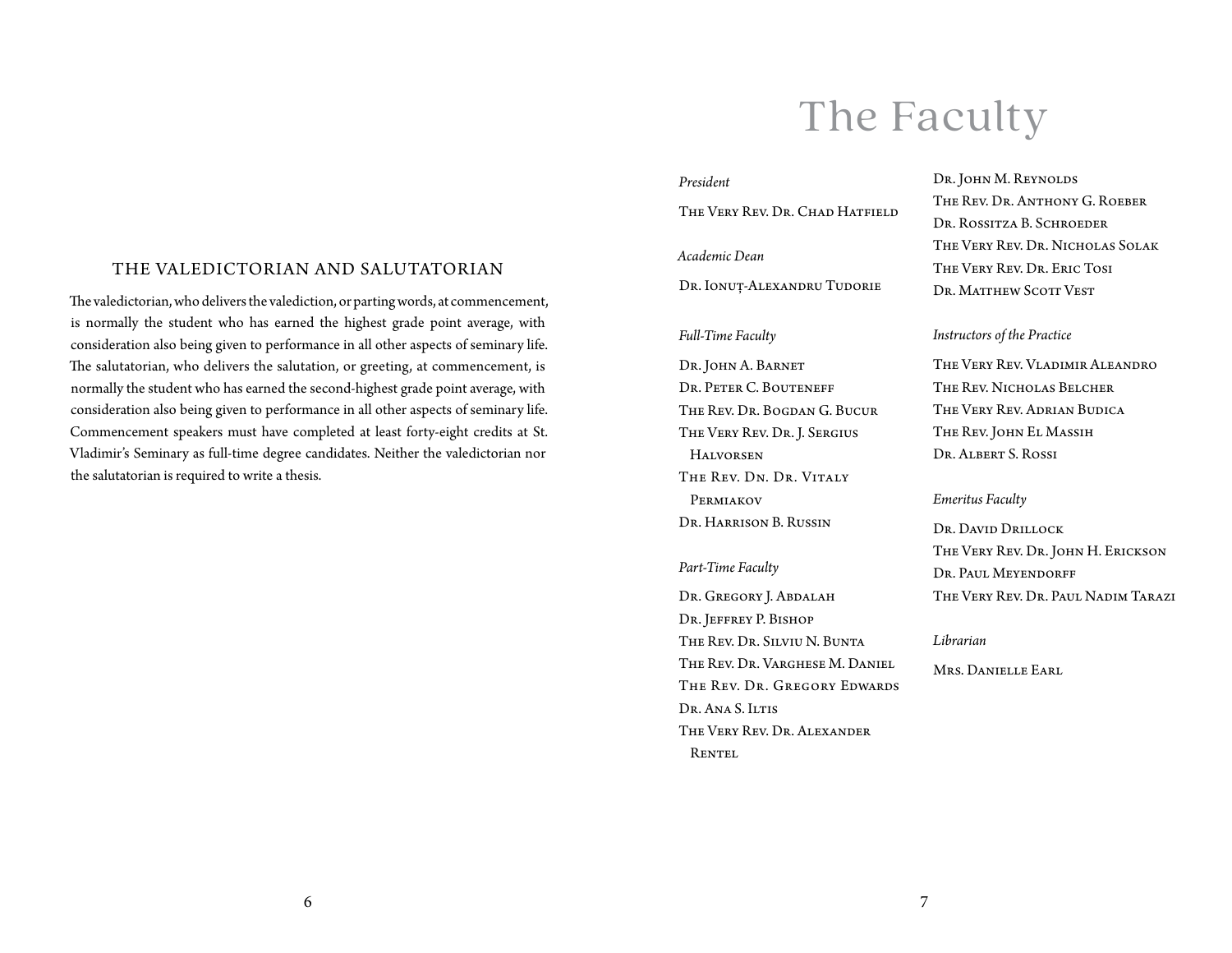## The Faculty

#### *President*

The Very Rev. Dr. Chad Hatfield

#### *Academic Dean*

Dr. Ionuț-Alexandru Tudorie

#### *Full-Time Faculty*

Dr. JOHN A. BARNET Dr. Peter C. Bouteneff The Rev. Dr. Bogdan G. Bucur The Very Rev. Dr. J. Sergius **HALVORSEN** The Rev. Dn. Dr. Vitaly **PERMIAKOV** Dr. Harrison B. Russin

#### *Part-Time Faculty*

Dr. Gregory J. Abdalah Dr. Jeffrey P. Bishop The Rev. Dr. Silviu N. Bunta The Rev. Dr. Varghese M. Daniel The Rev. Dr. Gregory Edwards Dr. Ana S. Iltis The Very Rev. Dr. Alexander **RENTEL** 

Dr. John M. Reynolds The Rev. Dr. Anthony G. Roeber Dr. Rossitza B. Schroeder The Very Rev. Dr. Nicholas Solak The Very Rev. Dr. Eric Tosi DR. MATTHEW SCOTT VEST

#### *Instructors of the Practice*

The Very Rev. Vladimir Aleandro The Rev. Nicholas Belcher The Very Rev. Adrian Budica The Rev. John El Massih Dr. Albert S. Rossi

#### *Emeritus Faculty*

Dr. David Drillock The Very Rev. Dr. John H. Erickson Dr. Paul Meyendorff The Very Rev. Dr. Paul Nadim Tarazi

#### *Librarian*

Mrs. Danielle Earl

#### THE VALEDICTORIAN AND SALUTATORIAN

The valedictorian, who delivers the valediction, or parting words, at commencement, is normally the student who has earned the highest grade point average, with consideration also being given to performance in all other aspects of seminary life. The salutatorian, who delivers the salutation, or greeting, at commencement, is normally the student who has earned the second-highest grade point average, with consideration also being given to performance in all other aspects of seminary life. Commencement speakers must have completed at least forty-eight credits at St. Vladimir's Seminary as full-time degree candidates. Neither the valedictorian nor the salutatorian is required to write a thesis.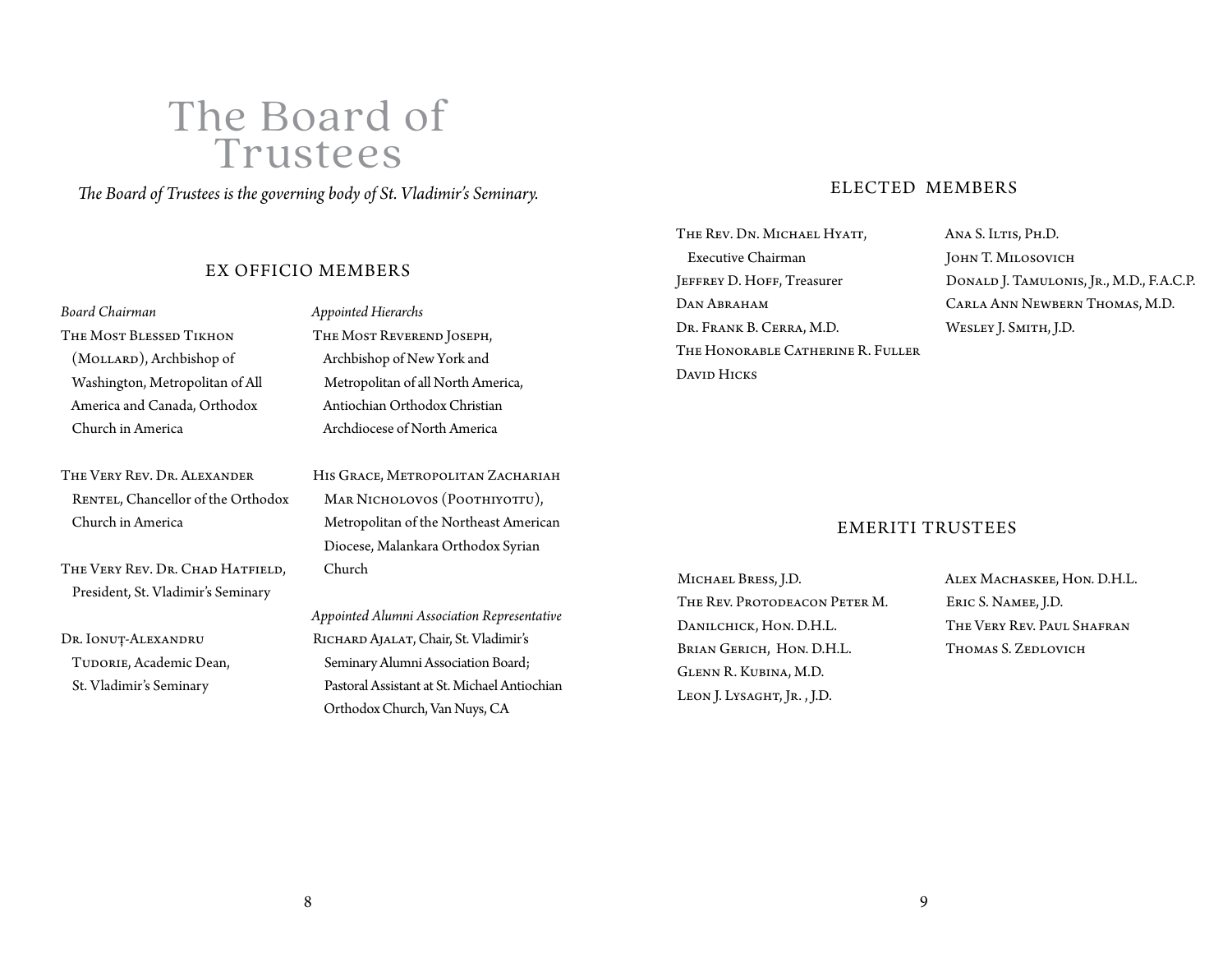## The Board of Trustees

*The Board of Trustees is the governing body of St. Vladimir's Seminary.*

#### EX OFFICIO MEMBERS

#### *Board Chairman*

The Most Blessed Tikhon (Mollard), Archbishop of Washington, Metropolitan of All America and Canada, Orthodox Church in America

The Very Rev. Dr. Alexander RENTEL, Chancellor of the Orthodox Church in America

The Very Rev. Dr. Chad Hatfield, President, St. Vladimir's Seminary

Dr. Ionuț-Alexandru TUDORIE, Academic Dean, St. Vladimir's Seminary

*Appointed Hierarchs*

The Most Reverend Joseph, Archbishop of New York and Metropolitan of all North America, Antiochian Orthodox Christian Archdiocese of North America

HIS GRACE, METROPOLITAN ZACHARIAH Mar Nicholovos (Poothiyottu), Metropolitan of the Northeast American Diocese, Malankara Orthodox Syrian Church

*Appointed Alumni Association Representative* Richard Ajalat, Chair, St. Vladimir's Seminary Alumni Association Board; Pastoral Assistant at St. Michael Antiochian Orthodox Church, Van Nuys, CA

#### ELECTED MEMBERS

THE REV. DN. MICHAEL HYATT, Executive Chairman JEFFREY D. HOFF, Treasurer DAN ABRAHAM Dr. Frank B. Cerra, M.D. The Honorable Catherine R. Fuller David Hicks

Ana S. Iltis, Ph.D. John T. Milosovich Donald J. Tamulonis, Jr., M.D., F.A.C.P. Carla Ann Newbern Thomas, M.D. Wesley J. Smith, J.D.

#### EMERITI TRUSTEES

Michael Bress, J.D. The Rev. Protodeacon Peter M. Danilchick, Hon. D.H.L. Brian Gerich, Hon. D.H.L. Glenn R. Kubina, M.D. LEON J. LYSAGHT, JR., J.D.

Alex Machaskee, Hon. D.H.L. Eric S. Namee, J.D. The Very Rev. Paul Shafran Thomas S. Zedlovich